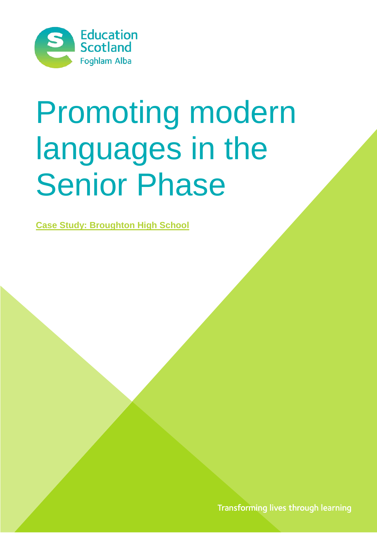

# Promoting modern languages in the Senior Phase

**Case Study: Broughton High School**

Transforming lives through learning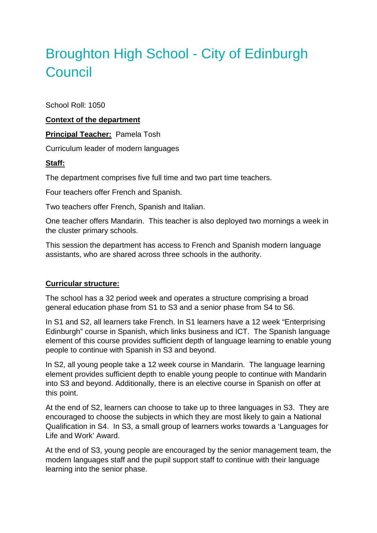# Broughton High School - City of Edinburgh **Council**

School Roll: 1050

#### **Context of the department**

**Principal Teacher:** Pamela Tosh

Curriculum leader of modern languages

#### **Staff:**

The department comprises five full time and two part time teachers.

Four teachers offer French and Spanish.

Two teachers offer French, Spanish and Italian.

One teacher offers Mandarin. This teacher is also deployed two mornings a week in the cluster primary schools.

This session the department has access to French and Spanish modern language assistants, who are shared across three schools in the authority.

#### **Curricular structure:**

The school has a 32 period week and operates a structure comprising a broad general education phase from S1 to S3 and a senior phase from S4 to S6.

In S1 and S2, all learners take French. In S1 learners have a 12 week "Enterprising Edinburgh" course in Spanish, which links business and ICT. The Spanish language element of this course provides sufficient depth of language learning to enable young people to continue with Spanish in S3 and beyond.

In S2, all young people take a 12 week course in Mandarin. The language learning element provides sufficient depth to enable young people to continue with Mandarin into S3 and beyond. Additionally, there is an elective course in Spanish on offer at this point.

At the end of S2, learners can choose to take up to three languages in S3. They are encouraged to choose the subjects in which they are most likely to gain a National Qualification in S4. In S3, a small group of learners works towards a 'Languages for Life and Work' Award.

At the end of S3, young people are encouraged by the senior management team, the modern languages staff and the pupil support staff to continue with their language learning into the senior phase.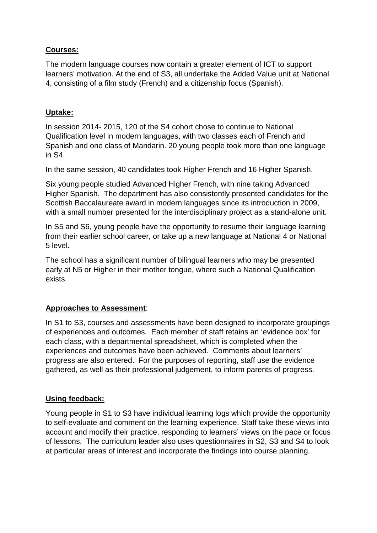# **Courses:**

The modern language courses now contain a greater element of ICT to support learners' motivation. At the end of S3, all undertake the Added Value unit at National 4, consisting of a film study (French) and a citizenship focus (Spanish).

# **Uptake:**

In session 2014- 2015, 120 of the S4 cohort chose to continue to National Qualification level in modern languages, with two classes each of French and Spanish and one class of Mandarin. 20 young people took more than one language in S4.

In the same session, 40 candidates took Higher French and 16 Higher Spanish.

Six young people studied Advanced Higher French, with nine taking Advanced Higher Spanish. The department has also consistently presented candidates for the Scottish Baccalaureate award in modern languages since its introduction in 2009, with a small number presented for the interdisciplinary project as a stand-alone unit.

In S5 and S6, young people have the opportunity to resume their language learning from their earlier school career, or take up a new language at National 4 or National 5 level.

The school has a significant number of bilingual learners who may be presented early at N5 or Higher in their mother tongue, where such a National Qualification exists.

### **Approaches to Assessment**:

In S1 to S3, courses and assessments have been designed to incorporate groupings of experiences and outcomes. Each member of staff retains an 'evidence box' for each class, with a departmental spreadsheet, which is completed when the experiences and outcomes have been achieved. Comments about learners' progress are also entered. For the purposes of reporting, staff use the evidence gathered, as well as their professional judgement, to inform parents of progress.

### **Using feedback:**

Young people in S1 to S3 have individual learning logs which provide the opportunity to self-evaluate and comment on the learning experience. Staff take these views into account and modify their practice, responding to learners' views on the pace or focus of lessons. The curriculum leader also uses questionnaires in S2, S3 and S4 to look at particular areas of interest and incorporate the findings into course planning.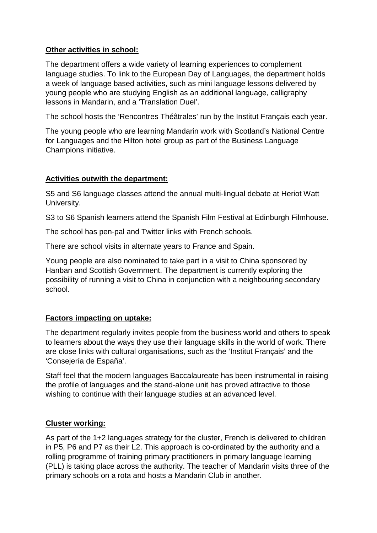## **Other activities in school:**

The department offers a wide variety of learning experiences to complement language studies. To link to the European Day of Languages, the department holds a week of language based activities, such as mini language lessons delivered by young people who are studying English as an additional language, calligraphy lessons in Mandarin, and a 'Translation Duel'.

The school hosts the 'Rencontres Théâtrales' run by the Institut Français each year.

The young people who are learning Mandarin work with Scotland's National Centre for Languages and the Hilton hotel group as part of the Business Language Champions initiative.

### **Activities outwith the department:**

S5 and S6 language classes attend the annual multi-lingual debate at Heriot Watt University.

S3 to S6 Spanish learners attend the Spanish Film Festival at Edinburgh Filmhouse.

The school has pen-pal and Twitter links with French schools.

There are school visits in alternate years to France and Spain.

Young people are also nominated to take part in a visit to China sponsored by Hanban and Scottish Government. The department is currently exploring the possibility of running a visit to China in conjunction with a neighbouring secondary school.

### **Factors impacting on uptake:**

The department regularly invites people from the business world and others to speak to learners about the ways they use their language skills in the world of work. There are close links with cultural organisations, such as the 'Institut Français' and the 'Consejería de España'.

Staff feel that the modern languages Baccalaureate has been instrumental in raising the profile of languages and the stand-alone unit has proved attractive to those wishing to continue with their language studies at an advanced level.

### **Cluster working:**

As part of the 1+2 languages strategy for the cluster, French is delivered to children in P5, P6 and P7 as their L2. This approach is co-ordinated by the authority and a rolling programme of training primary practitioners in primary language learning (PLL) is taking place across the authority. The teacher of Mandarin visits three of the primary schools on a rota and hosts a Mandarin Club in another.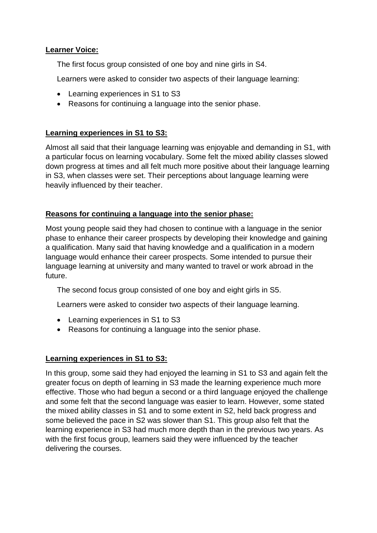#### **Learner Voice:**

The first focus group consisted of one boy and nine girls in S4.

Learners were asked to consider two aspects of their language learning:

- Learning experiences in S1 to S3
- Reasons for continuing a language into the senior phase.

#### **Learning experiences in S1 to S3:**

Almost all said that their language learning was enjoyable and demanding in S1, with a particular focus on learning vocabulary. Some felt the mixed ability classes slowed down progress at times and all felt much more positive about their language learning in S3, when classes were set. Their perceptions about language learning were heavily influenced by their teacher.

### **Reasons for continuing a language into the senior phase:**

Most young people said they had chosen to continue with a language in the senior phase to enhance their career prospects by developing their knowledge and gaining a qualification. Many said that having knowledge and a qualification in a modern language would enhance their career prospects. Some intended to pursue their language learning at university and many wanted to travel or work abroad in the future.

The second focus group consisted of one boy and eight girls in S5.

Learners were asked to consider two aspects of their language learning.

- Learning experiences in S1 to S3
- Reasons for continuing a language into the senior phase.

#### **Learning experiences in S1 to S3:**

In this group, some said they had enjoyed the learning in S1 to S3 and again felt the greater focus on depth of learning in S3 made the learning experience much more effective. Those who had begun a second or a third language enjoyed the challenge and some felt that the second language was easier to learn. However, some stated the mixed ability classes in S1 and to some extent in S2, held back progress and some believed the pace in S2 was slower than S1. This group also felt that the learning experience in S3 had much more depth than in the previous two years. As with the first focus group, learners said they were influenced by the teacher delivering the courses.